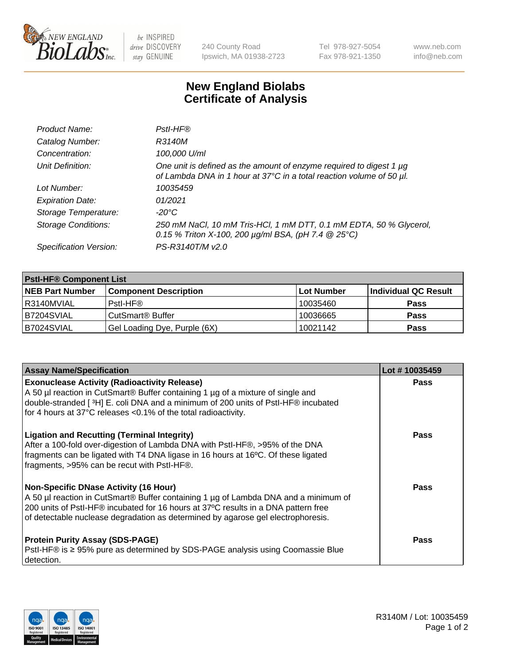

 $be$  INSPIRED drive DISCOVERY stay GENUINE

240 County Road Ipswich, MA 01938-2723 Tel 978-927-5054 Fax 978-921-1350 www.neb.com info@neb.com

## **New England Biolabs Certificate of Analysis**

| Product Name:              | Pstl-HF®                                                                                                                                             |
|----------------------------|------------------------------------------------------------------------------------------------------------------------------------------------------|
| Catalog Number:            | R3140M                                                                                                                                               |
| Concentration:             | 100,000 U/ml                                                                                                                                         |
| Unit Definition:           | One unit is defined as the amount of enzyme required to digest 1 µg<br>of Lambda DNA in 1 hour at 37°C in a total reaction volume of 50 µl.          |
| Lot Number:                | 10035459                                                                                                                                             |
| <b>Expiration Date:</b>    | 01/2021                                                                                                                                              |
| Storage Temperature:       | $-20^{\circ}$ C                                                                                                                                      |
| <b>Storage Conditions:</b> | 250 mM NaCl, 10 mM Tris-HCl, 1 mM DTT, 0.1 mM EDTA, 50 % Glycerol,<br>0.15 % Triton X-100, 200 $\mu$ g/ml BSA, (pH 7.4 $\textcircled{25}^{\circ}$ C) |
| Specification Version:     | PS-R3140T/M v2.0                                                                                                                                     |

| <b>PstI-HF® Component List</b> |                                    |                   |                      |  |
|--------------------------------|------------------------------------|-------------------|----------------------|--|
| <b>NEB Part Number</b>         | <b>Component Description</b>       | <b>Lot Number</b> | Individual QC Result |  |
| I R3140MVIAL                   | Pstl-HF®                           | 10035460          | <b>Pass</b>          |  |
| B7204SVIAL                     | <b>CutSmart<sup>®</sup> Buffer</b> | 10036665          | <b>Pass</b>          |  |
| B7024SVIAL                     | Gel Loading Dye, Purple (6X)       | 10021142          | <b>Pass</b>          |  |

| <b>Assay Name/Specification</b>                                                                                                                                                                                                                                                                               | Lot #10035459 |
|---------------------------------------------------------------------------------------------------------------------------------------------------------------------------------------------------------------------------------------------------------------------------------------------------------------|---------------|
| <b>Exonuclease Activity (Radioactivity Release)</b><br>A 50 µl reaction in CutSmart® Buffer containing 1 µg of a mixture of single and                                                                                                                                                                        | <b>Pass</b>   |
| double-stranded [3H] E. coli DNA and a minimum of 200 units of PstI-HF® incubated<br>for 4 hours at 37°C releases <0.1% of the total radioactivity.                                                                                                                                                           |               |
| <b>Ligation and Recutting (Terminal Integrity)</b><br>After a 100-fold over-digestion of Lambda DNA with PstI-HF®, >95% of the DNA<br>fragments can be ligated with T4 DNA ligase in 16 hours at 16°C. Of these ligated<br>fragments, >95% can be recut with PstI-HF®.                                        | <b>Pass</b>   |
| <b>Non-Specific DNase Activity (16 Hour)</b><br>A 50 µl reaction in CutSmart® Buffer containing 1 µg of Lambda DNA and a minimum of<br>200 units of Pstl-HF® incubated for 16 hours at 37°C results in a DNA pattern free<br>of detectable nuclease degradation as determined by agarose gel electrophoresis. | Pass          |
| <b>Protein Purity Assay (SDS-PAGE)</b><br>PstI-HF® is ≥ 95% pure as determined by SDS-PAGE analysis using Coomassie Blue<br>detection.                                                                                                                                                                        | <b>Pass</b>   |